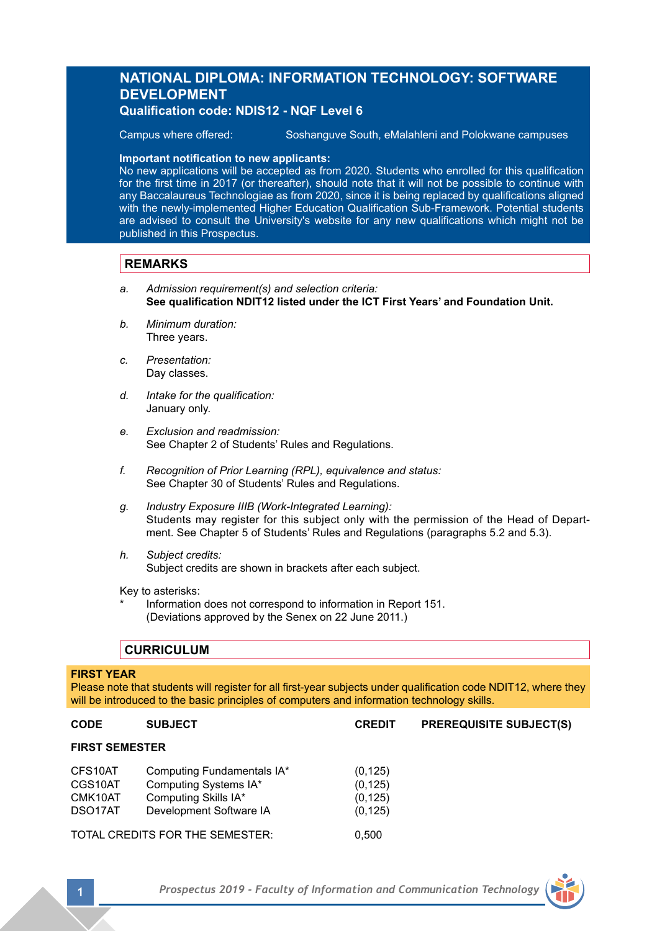## **NATIONAL DIPLOMA: INFORMATION TECHNOLOGY: SOFTWARE DEVELOPMENT Qualification code: NDIS12 - NQF Level 6**

Campus where offered: Soshanguve South, eMalahleni and Polokwane campuses

#### **Important notification to new applicants:**

No new applications will be accepted as from 2020. Students who enrolled for this qualification for the first time in 2017 (or thereafter), should note that it will not be possible to continue with any Baccalaureus Technologiae as from 2020, since it is being replaced by qualifications aligned with the newly-implemented Higher Education Qualification Sub-Framework. Potential students are advised to consult the University's website for any new qualifications which might not be published in this Prospectus.

## **REMARKS**

- *a. Admission requirement(s) and selection criteria:* **See qualification NDIT12 listed under the ICT First Years' and Foundation Unit.**
- *b. Minimum duration:* Three years.
- *c. Presentation:* Day classes.
- *d. Intake for the qualification:* January only.
- *e. Exclusion and readmission:* See Chapter 2 of Students' Rules and Regulations.
- *f. Recognition of Prior Learning (RPL), equivalence and status:* See Chapter 30 of Students' Rules and Regulations.
- *g. Industry Exposure IIIB (Work-Integrated Learning):* Students may register for this subject only with the permission of the Head of Department. See Chapter 5 of Students' Rules and Regulations (paragraphs 5.2 and 5.3).
- *h. Subject credits:* Subject credits are shown in brackets after each subject.

Key to asterisks:

Information does not correspond to information in Report 151. (Deviations approved by the Senex on 22 June 2011.)

## **CURRICULUM**

#### **FIRST YEAR**

Please note that students will register for all first-year subjects under qualification code NDIT12, where they will be introduced to the basic principles of computers and information technology skills.

| <b>CODE</b>                                           | <b>SUBJECT</b>                                                                                         | <b>CREDIT</b>                                | <b>PREREQUISITE SUBJECT(S)</b> |  |  |
|-------------------------------------------------------|--------------------------------------------------------------------------------------------------------|----------------------------------------------|--------------------------------|--|--|
| <b>FIRST SEMESTER</b>                                 |                                                                                                        |                                              |                                |  |  |
| CFS10AT<br>CGS10AT<br>CMK10AT<br>DSO <sub>17</sub> AT | Computing Fundamentals IA*<br>Computing Systems IA*<br>Computing Skills IA*<br>Development Software IA | (0, 125)<br>(0, 125)<br>(0, 125)<br>(0, 125) |                                |  |  |

TOTAL CREDITS FOR THE SEMESTER: 0,500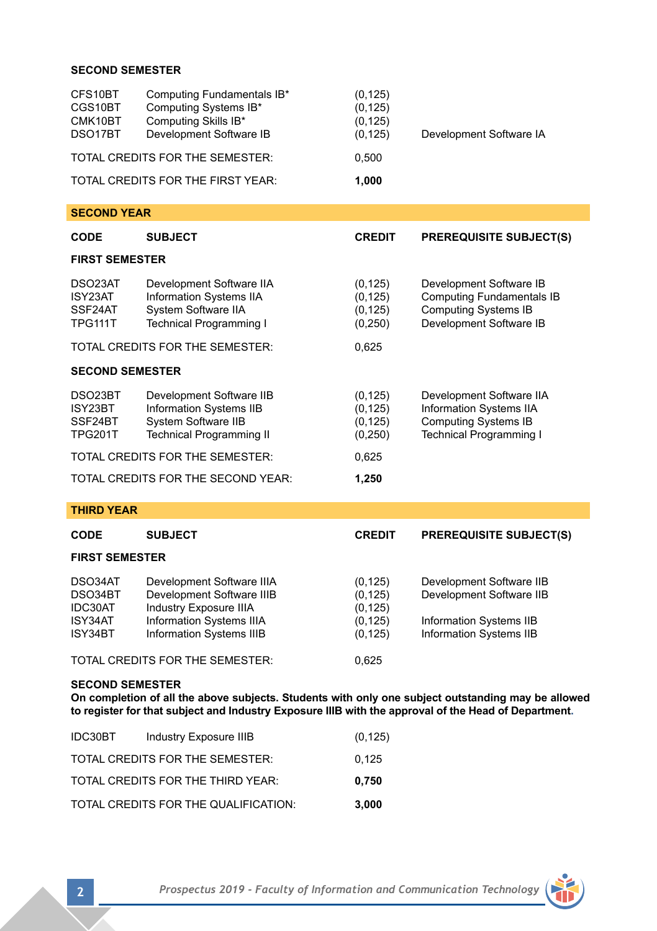## **SECOND SEMESTER**

| CFS10BT<br>CGS10BT<br>CMK10BT<br>DSO17BT        | Computing Fundamentals IB*<br>Computing Systems IB*<br>Computing Skills IB*<br>Development Software IB                     | (0, 125)<br>(0, 125)<br>(0, 125)<br>(0, 125) | Development Software IA                                                                                               |  |  |  |
|-------------------------------------------------|----------------------------------------------------------------------------------------------------------------------------|----------------------------------------------|-----------------------------------------------------------------------------------------------------------------------|--|--|--|
| TOTAL CREDITS FOR THE SEMESTER:                 |                                                                                                                            | 0,500                                        |                                                                                                                       |  |  |  |
| TOTAL CREDITS FOR THE FIRST YEAR:               |                                                                                                                            | 1,000                                        |                                                                                                                       |  |  |  |
| <b>SECOND YEAR</b>                              |                                                                                                                            |                                              |                                                                                                                       |  |  |  |
| <b>CODE</b>                                     | <b>SUBJECT</b>                                                                                                             | <b>CREDIT</b>                                | <b>PREREQUISITE SUBJECT(S)</b>                                                                                        |  |  |  |
| <b>FIRST SEMESTER</b>                           |                                                                                                                            |                                              |                                                                                                                       |  |  |  |
| DSO23AT<br>ISY23AT<br>SSF24AT<br>TPG111T        | Development Software IIA<br>Information Systems IIA<br>System Software IIA<br><b>Technical Programming I</b>               | (0, 125)<br>(0, 125)<br>(0, 125)<br>(0, 250) | Development Software IB<br><b>Computing Fundamentals IB</b><br><b>Computing Systems IB</b><br>Development Software IB |  |  |  |
|                                                 | TOTAL CREDITS FOR THE SEMESTER:                                                                                            | 0,625                                        |                                                                                                                       |  |  |  |
| <b>SECOND SEMESTER</b>                          |                                                                                                                            |                                              |                                                                                                                       |  |  |  |
| DSO23BT<br>ISY23BT<br>SSF24BT<br><b>TPG201T</b> | Development Software IIB<br>Information Systems IIB<br>System Software IIB<br><b>Technical Programming II</b>              | (0, 125)<br>(0, 125)<br>(0, 125)<br>(0, 250) | Development Software IIA<br>Information Systems IIA<br><b>Computing Systems IB</b><br><b>Technical Programming I</b>  |  |  |  |
| TOTAL CREDITS FOR THE SEMESTER:                 |                                                                                                                            | 0,625                                        |                                                                                                                       |  |  |  |
| TOTAL CREDITS FOR THE SECOND YEAR:              |                                                                                                                            | 1,250                                        |                                                                                                                       |  |  |  |
| <b>THIRD YEAR</b>                               |                                                                                                                            |                                              |                                                                                                                       |  |  |  |
| <b>CODE</b>                                     | <b>SUBJECT</b>                                                                                                             | <b>CREDIT</b>                                | <b>PREREQUISITE SUBJECT(S)</b>                                                                                        |  |  |  |
| <b>FIRST SEMESTER</b>                           |                                                                                                                            |                                              |                                                                                                                       |  |  |  |
| DSO34AT<br>DSO34BT<br>IDC30AT<br>ISY34AT        | Development Software IIIA<br>Development Software IIIB<br><b>Industry Exposure IIIA</b><br><b>Information Systems IIIA</b> | (0, 125)<br>(0, 125)<br>(0, 125)<br>(0, 125) | Development Software IIB<br>Development Software IIB<br><b>Information Systems IIB</b>                                |  |  |  |

TOTAL CREDITS FOR THE SEMESTER: 0,625

Information Systems IIIB

### **SECOND SEMESTER**

**On completion of all the above subjects. Students with only one subject outstanding may be allowed to register for that subject and Industry Exposure IIIB with the approval of the Head of Department.**

ISY34AT Information Systems IIIA (0,125) Information Systems IIB<br>ISY34BT Information Systems IIIB (0,125) Information Systems IIB

| IDC30BT | Industry Exposure IIIB               | (0, 125) |
|---------|--------------------------------------|----------|
|         | TOTAL CREDITS FOR THE SEMESTER:      | 0.125    |
|         | TOTAL CREDITS FOR THE THIRD YEAR:    | 0.750    |
|         | TOTAL CREDITS FOR THE QUALIFICATION: | 3.000    |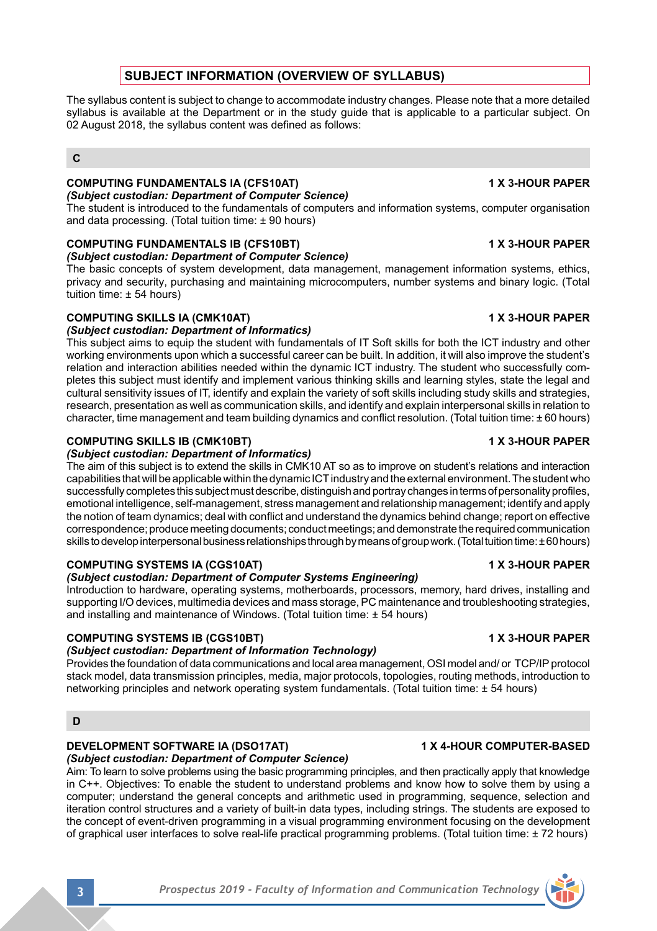## **SUBJECT INFORMATION (OVERVIEW OF SYLLABUS)**

The syllabus content is subject to change to accommodate industry changes. Please note that a more detailed syllabus is available at the Department or in the study guide that is applicable to a particular subject. On 02 August 2018, the syllabus content was defined as follows:

### **C**

#### **COMPUTING FUNDAMENTALS IA (CFS10AT) 1 X 3-HOUR PAPER** *(Subject custodian: Department of Computer Science)*

The student is introduced to the fundamentals of computers and information systems, computer organisation and data processing. (Total tuition time: ± 90 hours)

## **COMPUTING FUNDAMENTALS IB (CFS10BT) 1 X 3-HOUR PAPER**

*(Subject custodian: Department of Computer Science)*

The basic concepts of system development, data management, management information systems, ethics, privacy and security, purchasing and maintaining microcomputers, number systems and binary logic. (Total tuition time: ± 54 hours)

## **COMPUTING SKILLS IA (CMK10AT) 1 X 3-HOUR PAPER**

### *(Subject custodian: Department of Informatics)*

This subject aims to equip the student with fundamentals of IT Soft skills for both the ICT industry and other working environments upon which a successful career can be built. In addition, it will also improve the student's relation and interaction abilities needed within the dynamic ICT industry. The student who successfully completes this subject must identify and implement various thinking skills and learning styles, state the legal and cultural sensitivity issues of IT, identify and explain the variety of soft skills including study skills and strategies, research, presentation as well as communication skills, and identify and explain interpersonal skills in relation to character, time management and team building dynamics and conflict resolution. (Total tuition time: ±60 hours)

## **COMPUTING SKILLS IB (CMK10BT) 1 X 3-HOUR PAPER**

### *(Subject custodian: Department of Informatics)*

The aim of this subject is to extend the skills in CMK10 AT so as to improve on student's relations and interaction capabilities that will be applicable within the dynamic ICT industry and the external environment. The student who successfully completes this subject must describe, distinguish and portray changes in terms of personality profiles, emotional intelligence, self-management, stress management and relationship management; identify and apply the notion of team dynamics; deal with conflict and understand the dynamics behind change; report on effective correspondence; produce meeting documents; conduct meetings; and demonstrate the required communication skills to develop interpersonal business relationships through by means of group work. (Total tuition time: ± 60 hours)

## **COMPUTING SYSTEMS IA (CGS10AT) 1 X 3-HOUR PAPER**

### *(Subject custodian: Department of Computer Systems Engineering)*

Introduction to hardware, operating systems, motherboards, processors, memory, hard drives, installing and supporting I/O devices, multimedia devices and mass storage, PC maintenance and troubleshooting strategies, and installing and maintenance of Windows. (Total tuition time: ± 54 hours)

## **COMPUTING SYSTEMS IB (CGS10BT) 1 X 3-HOUR PAPER**

### *(Subject custodian: Department of Information Technology)*

Provides the foundation of data communications and local area management, OSI model and/ or TCP/IP protocol stack model, data transmission principles, media, major protocols, topologies, routing methods, introduction to networking principles and network operating system fundamentals. (Total tuition time: ± 54 hours)

## **D**

# **DEVELOPMENT SOFTWARE IA (DSO17AT) 1 X 4-HOUR COMPUTER-BASED**

*(Subject custodian: Department of Computer Science)* Aim: To learn to solve problems using the basic programming principles, and then practically apply that knowledge in C++. Objectives: To enable the student to understand problems and know how to solve them by using a computer; understand the general concepts and arithmetic used in programming, sequence, selection and iteration control structures and a variety of built-in data types, including strings. The students are exposed to the concept of event-driven programming in a visual programming environment focusing on the development of graphical user interfaces to solve real-life practical programming problems. (Total tuition time: ± 72 hours)

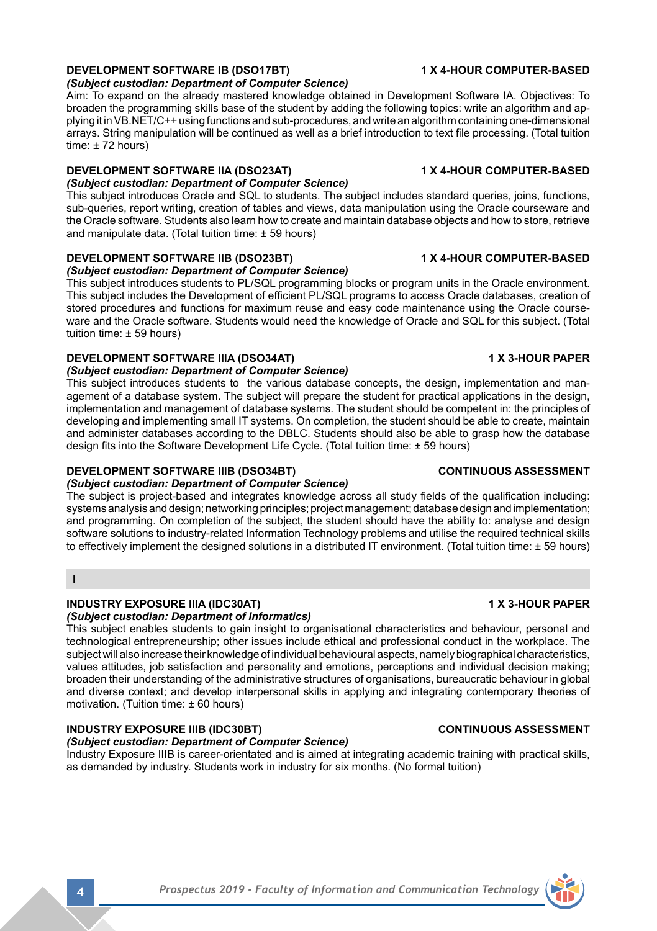# **DEVELOPMENT SOFTWARE IB (DSO17BT) 1 X 4-HOUR COMPUTER-BASED**

*(Subject custodian: Department of Computer Science)*

Aim: To expand on the already mastered knowledge obtained in Development Software IA. Objectives: To broaden the programming skills base of the student by adding the following topics: write an algorithm and applying it in VB.NET/C++ using functions and sub-procedures, and write an algorithm containing one-dimensional arrays. String manipulation will be continued as well as a brief introduction to text file processing. (Total tuition time:  $± 72$  hours)

# **DEVELOPMENT SOFTWARE IIA (DSO23AT) 1 X 4-HOUR COMPUTER-BASED**

# *(Subject custodian: Department of Computer Science)*

This subject introduces Oracle and SQL to students. The subject includes standard queries, joins, functions, sub-queries, report writing, creation of tables and views, data manipulation using the Oracle courseware and the Oracle software. Students also learn how to create and maintain database objects and how to store, retrieve and manipulate data. (Total tuition time:  $\pm$  59 hours)

# **DEVELOPMENT SOFTWARE IIB (DSO23BT) 1 X 4-HOUR COMPUTER-BASED**

## *(Subject custodian: Department of Computer Science)*

This subject introduces students to PL/SQL programming blocks or program units in the Oracle environment. This subject includes the Development of efficient PL/SQL programs to access Oracle databases, creation of stored procedures and functions for maximum reuse and easy code maintenance using the Oracle courseware and the Oracle software. Students would need the knowledge of Oracle and SQL for this subject. (Total tuition time: ± 59 hours)

# **DEVELOPMENT SOFTWARE IIIA (DSO34AT) 1 X 3-HOUR PAPER**

## *(Subject custodian: Department of Computer Science)*

This subject introduces students to the various database concepts, the design, implementation and management of a database system. The subject will prepare the student for practical applications in the design, implementation and management of database systems. The student should be competent in: the principles of developing and implementing small IT systems. On completion, the student should be able to create, maintain and administer databases according to the DBLC. Students should also be able to grasp how the database design fits into the Software Development Life Cycle. (Total tuition time: ± 59 hours)

# **DEVELOPMENT SOFTWARE IIIB (DSO34BT) CONTINUOUS ASSESSMENT**

## *(Subject custodian: Department of Computer Science)*

The subject is project-based and integrates knowledge across all study fields of the qualification including: systems analysis and design; networking principles; project management; database design and implementation; and programming. On completion of the subject, the student should have the ability to: analyse and design software solutions to industry-related Information Technology problems and utilise the required technical skills to effectively implement the designed solutions in a distributed IT environment. (Total tuition time: ± 59 hours)

## **I**

## **INDUSTRY EXPOSURE IIIA (IDC30AT) 1 X 3-HOUR PAPER**

## *(Subject custodian: Department of Informatics)*

This subject enables students to gain insight to organisational characteristics and behaviour, personal and technological entrepreneurship; other issues include ethical and professional conduct in the workplace. The subject will also increase their knowledge of individual behavioural aspects, namely biographical characteristics, values attitudes, job satisfaction and personality and emotions, perceptions and individual decision making; broaden their understanding of the administrative structures of organisations, bureaucratic behaviour in global and diverse context; and develop interpersonal skills in applying and integrating contemporary theories of motivation. (Tuition time: ± 60 hours)

## **INDUSTRY EXPOSURE IIIB (IDC30BT) CONTINUOUS ASSESSMENT**

## *(Subject custodian: Department of Computer Science)*

Industry Exposure IIIB is career-orientated and is aimed at integrating academic training with practical skills, as demanded by industry. Students work in industry for six months. (No formal tuition)

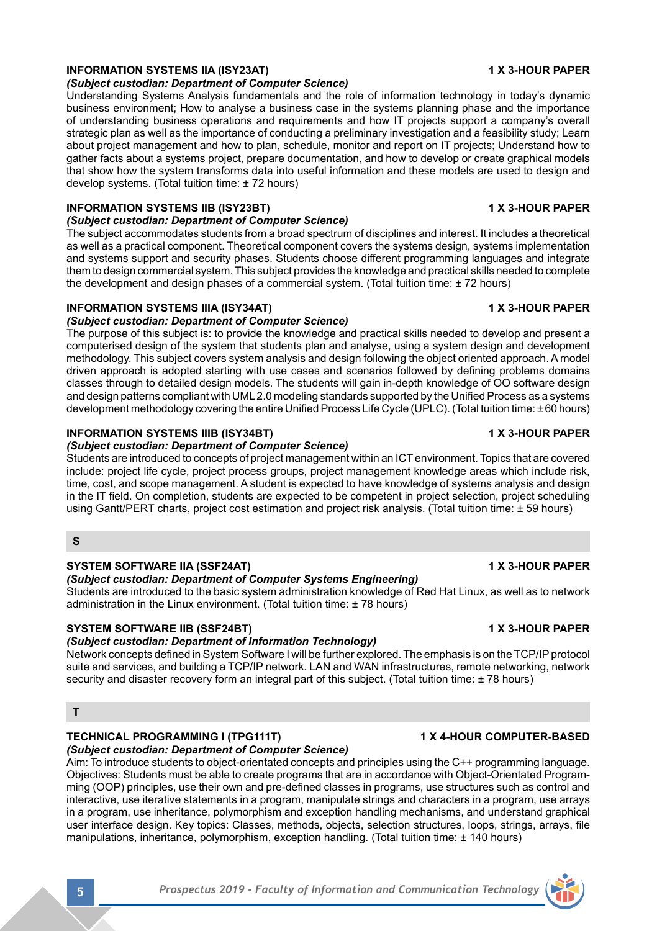## **INFORMATION SYSTEMS IIA (ISY23AT) 1 X 3-HOUR PAPER**

### *(Subject custodian: Department of Computer Science)*

Understanding Systems Analysis fundamentals and the role of information technology in today's dynamic business environment; How to analyse a business case in the systems planning phase and the importance of understanding business operations and requirements and how IT projects support a company's overall strategic plan as well as the importance of conducting a preliminary investigation and a feasibility study; Learn about project management and how to plan, schedule, monitor and report on IT projects; Understand how to gather facts about a systems project, prepare documentation, and how to develop or create graphical models that show how the system transforms data into useful information and these models are used to design and develop systems. (Total tuition time: ± 72 hours)

### **INFORMATION SYSTEMS IIB (ISY23BT) 1 X 3-HOUR PAPER**

## *(Subject custodian: Department of Computer Science)*

The subject accommodates students from a broad spectrum of disciplines and interest. It includes a theoretical as well as a practical component. Theoretical component covers the systems design, systems implementation and systems support and security phases. Students choose different programming languages and integrate them to design commercial system. This subject provides the knowledge and practical skills needed to complete the development and design phases of a commercial system. (Total tuition time: ± 72 hours)

### **INFORMATION SYSTEMS IIIA (ISY34AT) 1 X 3-HOUR PAPER**

## *(Subject custodian: Department of Computer Science)*

The purpose of this subject is: to provide the knowledge and practical skills needed to develop and present a computerised design of the system that students plan and analyse, using a system design and development methodology. This subject covers system analysis and design following the object oriented approach. A model driven approach is adopted starting with use cases and scenarios followed by defining problems domains classes through to detailed design models. The students will gain in-depth knowledge of OO software design and design patterns compliant with UML 2.0 modeling standards supported by the Unified Process as a systems development methodology covering the entire Unified Process Life Cycle (UPLC). (Total tuition time: ± 60 hours)

## **INFORMATION SYSTEMS IIIB (ISY34BT) 1 X 3-HOUR PAPER**

## *(Subject custodian: Department of Computer Science)*

Students are introduced to concepts of project management within an ICT environment. Topics that are covered include: project life cycle, project process groups, project management knowledge areas which include risk, time, cost, and scope management. A student is expected to have knowledge of systems analysis and design in the IT field. On completion, students are expected to be competent in project selection, project scheduling using Gantt/PERT charts, project cost estimation and project risk analysis. (Total tuition time: ± 59 hours)

#### **S**

### **SYSTEM SOFTWARE IIA (SSF24AT) 1 X 3-HOUR PAPER**

### *(Subject custodian: Department of Computer Systems Engineering)*

Students are introduced to the basic system administration knowledge of Red Hat Linux, as well as to network administration in the Linux environment. (Total tuition time: ± 78 hours)

## **SYSTEM SOFTWARE IIB (SSF24BT) 1 X 3-HOUR PAPER**

## *(Subject custodian: Department of Information Technology)*

Network concepts defined in System Software I will be further explored. The emphasis is on the TCP/IP protocol suite and services, and building a TCP/IP network. LAN and WAN infrastructures, remote networking, network security and disaster recovery form an integral part of this subject. (Total tuition time: ± 78 hours)

#### **T**

## **TECHNICAL PROGRAMMING I (TPG111T) 1 1 X 4-HOUR COMPUTER-BASED**

## *(Subject custodian: Department of Computer Science)*

Aim: To introduce students to object-orientated concepts and principles using the C++ programming language. Objectives: Students must be able to create programs that are in accordance with Object-Orientated Programming (OOP) principles, use their own and pre-defined classes in programs, use structures such as control and interactive, use iterative statements in a program, manipulate strings and characters in a program, use arrays in a program, use inheritance, polymorphism and exception handling mechanisms, and understand graphical user interface design. Key topics: Classes, methods, objects, selection structures, loops, strings, arrays, file manipulations, inheritance, polymorphism, exception handling. (Total tuition time: +140 hours)